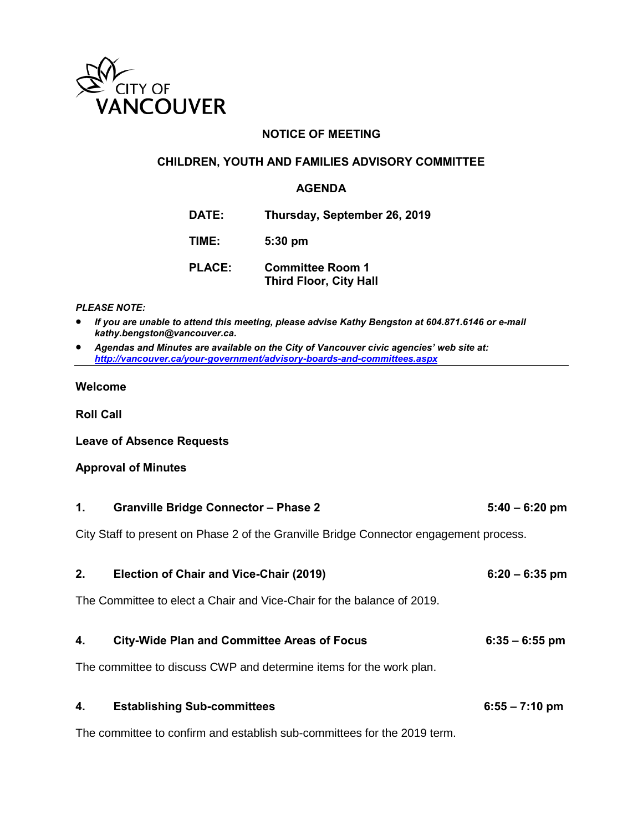

### **NOTICE OF MEETING**

#### **CHILDREN, YOUTH AND FAMILIES ADVISORY COMMITTEE**

#### **AGENDA**

**DATE: Thursday, September 26, 2019**

**TIME: 5:30 pm**

**PLACE: Committee Room 1 Third Floor, City Hall** 

#### *PLEASE NOTE:*

- *If you are unable to attend this meeting, please advise Kathy Bengston at 604.871.6146 or e-mail kathy.bengston@vancouver.ca.*
- *Agendas and Minutes are available on the City of Vancouver civic agencies' web site at: <http://vancouver.ca/your-government/advisory-boards-and-committees.aspx>*

#### **Welcome**

**Roll Call** 

**Leave of Absence Requests** 

#### **Approval of Minutes**

| 1. | <b>Granville Bridge Connector - Phase 2</b>                                            | $5:40 - 6:20$ pm |
|----|----------------------------------------------------------------------------------------|------------------|
|    | City Staff to present on Phase 2 of the Granville Bridge Connector engagement process. |                  |
| 2. | Election of Chair and Vice-Chair (2019)                                                | $6:20 - 6:35$ pm |
|    | The Committee to elect a Chair and Vice-Chair for the balance of 2019.                 |                  |
| 4. | <b>City-Wide Plan and Committee Areas of Focus</b>                                     | $6:35 - 6:55$ pm |
|    | The committee to discuss CWP and determine items for the work plan.                    |                  |
| 4. | <b>Establishing Sub-committees</b>                                                     | $6:55 - 7:10$ pm |

The committee to confirm and establish sub-committees for the 2019 term.